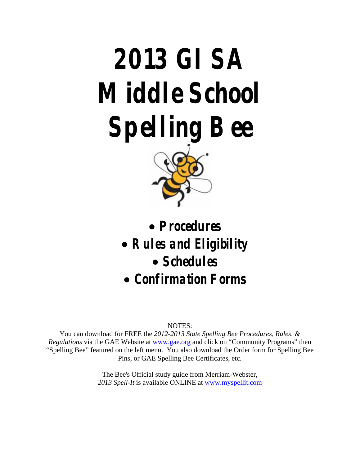# **2013 GISA Middle School Spelling Bee**



• **Procedures** 

- **Rules and Eligibility** 
	- **Schedules**
- **Confirmation Forms**

#### NOTES:

You can download for FREE the *2012-2013 State Spelling Bee Procedures, Rules, & Regulations* via the GAE Website at www.gae.org and click on "Community Programs" then "Spelling Bee" featured on the left menu. You also download the Order form for Spelling Bee Pins, or GAE Spelling Bee Certificates, etc.

> The Bee's Official study guide from Merriam-Webster, *2013 Spell-It* is available ONLINE at www.myspellit.com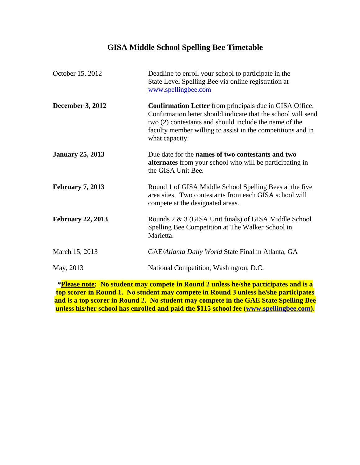# **GISA Middle School Spelling Bee Timetable**

| October 15, 2012         | Deadline to enroll your school to participate in the<br>State Level Spelling Bee via online registration at<br>www.spellingbee.com                                                                                                                                         |
|--------------------------|----------------------------------------------------------------------------------------------------------------------------------------------------------------------------------------------------------------------------------------------------------------------------|
| <b>December 3, 2012</b>  | <b>Confirmation Letter</b> from principals due in GISA Office.<br>Confirmation letter should indicate that the school will send<br>two (2) contestants and should include the name of the<br>faculty member willing to assist in the competitions and in<br>what capacity. |
| <b>January 25, 2013</b>  | Due date for the names of two contestants and two<br>alternates from your school who will be participating in<br>the GISA Unit Bee.                                                                                                                                        |
| <b>February 7, 2013</b>  | Round 1 of GISA Middle School Spelling Bees at the five<br>area sites. Two contestants from each GISA school will<br>compete at the designated areas.                                                                                                                      |
| <b>February 22, 2013</b> | Rounds 2 & 3 (GISA Unit finals) of GISA Middle School<br>Spelling Bee Competition at The Walker School in<br>Marietta.                                                                                                                                                     |
| March 15, 2013           | GAE/Atlanta Daily World State Final in Atlanta, GA                                                                                                                                                                                                                         |
| May, 2013                | National Competition, Washington, D.C.                                                                                                                                                                                                                                     |
|                          |                                                                                                                                                                                                                                                                            |

**\*Please note: No student may compete in Round 2 unless he/she participates and is a top scorer in Round 1. No student may compete in Round 3 unless he/she participates and is a top scorer in Round 2. No student may compete in the GAE State Spelling Bee unless his/her school has enrolled and paid the \$115 school fee (www.spellingbee.com).**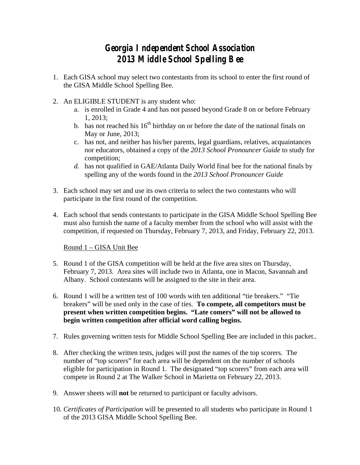# **Georgia Independent School Association 2013 Middle School Spelling Bee**

- 1. Each GISA school may select two contestants from its school to enter the first round of the GISA Middle School Spelling Bee.
- 2. An ELIGIBLE STUDENT is any student who:
	- a. is enrolled in Grade 4 and has not passed beyond Grade 8 on or before February 1, 2013;
	- b. has not reached his  $16<sup>th</sup>$  birthday on or before the date of the national finals on May or June, 2013;
	- c. has not, and neither has his/her parents, legal guardians, relatives, acquaintances nor educators, obtained a copy of the *2013 School Pronouncer Guide* to study for competition;
	- *d.* has not qualified in GAE/Atlanta Daily World final bee for the national finals by spelling any of the words found in the *2013 School Pronouncer Guide*
- 3. Each school may set and use its own criteria to select the two contestants who will participate in the first round of the competition.
- 4. Each school that sends contestants to participate in the GISA Middle School Spelling Bee must also furnish the name of a faculty member from the school who will assist with the competition, if requested on Thursday, February 7, 2013, and Friday, February 22, 2013.

Round 1 – GISA Unit Bee

- 5. Round 1 of the GISA competition will be held at the five area sites on Thursday, February 7, 2013. Area sites will include two in Atlanta, one in Macon, Savannah and Albany. School contestants will be assigned to the site in their area.
- 6. Round 1 will be a written test of 100 words with ten additional "tie breakers." "Tie breakers" will be used only in the case of ties. **To compete, all competitors must be present when written competition begins. "Late comers" will not be allowed to begin written competition after official word calling begins.**
- 7. Rules governing written tests for Middle School Spelling Bee are included in this packet..
- 8. After checking the written tests, judges will post the names of the top scorers. The number of "top scorers" for each area will be dependent on the number of schools eligible for participation in Round 1. The designated "top scorers" from each area will compete in Round 2 at The Walker School in Marietta on February 22, 2013.
- 9. Answer sheets will **not** be returned to participant or faculty advisors.
- 10. *Certificates of Participation* will be presented to all students who participate in Round 1 of the 2013 GISA Middle School Spelling Bee.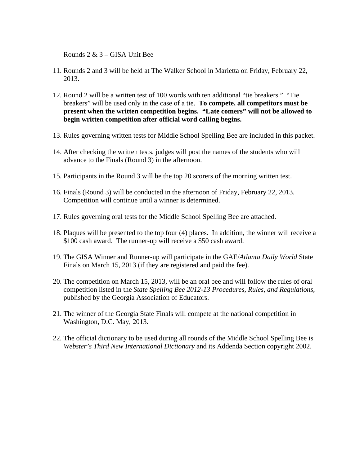#### Rounds 2 & 3 – GISA Unit Bee

- 11. Rounds 2 and 3 will be held at The Walker School in Marietta on Friday, February 22, 2013.
- 12. Round 2 will be a written test of 100 words with ten additional "tie breakers." "Tie breakers" will be used only in the case of a tie. **To compete, all competitors must be present when the written competition begins. "Late comers" will not be allowed to begin written competition after official word calling begins.**
- 13. Rules governing written tests for Middle School Spelling Bee are included in this packet.
- 14. After checking the written tests, judges will post the names of the students who will advance to the Finals (Round 3) in the afternoon.
- 15. Participants in the Round 3 will be the top 20 scorers of the morning written test.
- 16. Finals (Round 3) will be conducted in the afternoon of Friday, February 22, 2013. Competition will continue until a winner is determined.
- 17. Rules governing oral tests for the Middle School Spelling Bee are attached.
- 18. Plaques will be presented to the top four (4) places. In addition, the winner will receive a \$100 cash award. The runner-up will receive a \$50 cash award.
- 19. The GISA Winner and Runner-up will participate in the GAE/*Atlanta Daily World* State Finals on March 15, 2013 (if they are registered and paid the fee).
- 20. The competition on March 15, 2013, will be an oral bee and will follow the rules of oral competition listed in the *State Spelling Bee 2012-13 Procedures, Rules, and Regulations*, published by the Georgia Association of Educators.
- 21. The winner of the Georgia State Finals will compete at the national competition in Washington, D.C. May, 2013.
- 22. The official dictionary to be used during all rounds of the Middle School Spelling Bee is *Webster's Third New International Dictionary* and its Addenda Section copyright 2002.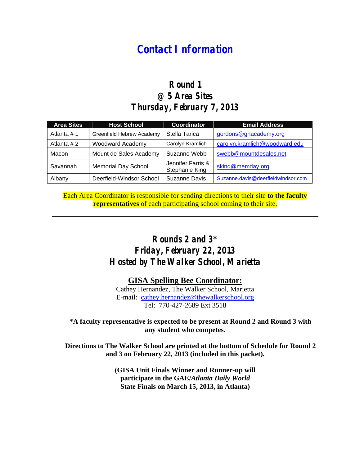# **Contact Information**

## **Round 1 @ 5 Area Sites Thursday, February 7, 2013**

| <b>Area Sites</b> | <b>Host School</b>         | <b>Coordinator</b>                  | <b>Email Address</b>               |
|-------------------|----------------------------|-------------------------------------|------------------------------------|
| Atlanta #1        | Greenfield Hebrew Academy  | Stella Tarica                       | gordons@ghacademy.org              |
| Atlanta # 2       | <b>Woodward Academy</b>    | Carolyn Kramlich                    | carolyn.kramlich@woodward.edu      |
| Macon             | Mount de Sales Academy     | Suzanne Webb                        | swebb@mountdesales.net             |
| Savannah          | <b>Memorial Day School</b> | Jennifer Farris &<br>Stephanie King | sking@memday.org                   |
| Albany            | Deerfield-Windsor School   | <b>Suzanne Davis</b>                | Suzanne.davis@deerfieldwindsor.com |

Each Area Coordinator is responsible for sending directions to their site **to the faculty representatives** of each participating school coming to their site.

# **Rounds 2 and 3\* Friday, February 22, 2013 Hosted by The Walker School, Marietta**

#### **GISA Spelling Bee Coordinator:**

Cathey Hernandez, The Walker School, Marietta E-mail: cathey.hernandez@thewalkerschool.org Tel: 770-427-2689 Ext 3518

#### **\*A faculty representative is expected to be present at Round 2 and Round 3 with any student who competes.**

**Directions to The Walker School are printed at the bottom of Schedule for Round 2 and 3 on February 22, 2013 (included in this packet).** 

> **(GISA Unit Finals Winner and Runner-up will participate in the GAE/***Atlanta Daily World*  **State Finals on March 15, 2013, in Atlanta)**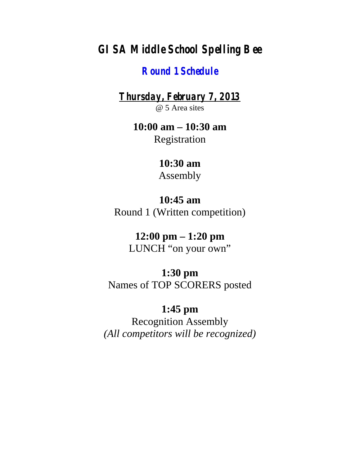# **GISA Middle School Spelling Bee**

## **Round 1 Schedule**

**Thursday, February 7, 2013** @ 5 Area sites

> **10:00 am – 10:30 am**  Registration

# **10:30 am**

Assembly

## **10:45 am**

Round 1 (Written competition)

# **12:00 pm – 1:20 pm**

LUNCH "on your own"

# **1:30 pm**

Names of TOP SCORERS posted

# **1:45 pm**

Recognition Assembly *(All competitors will be recognized)*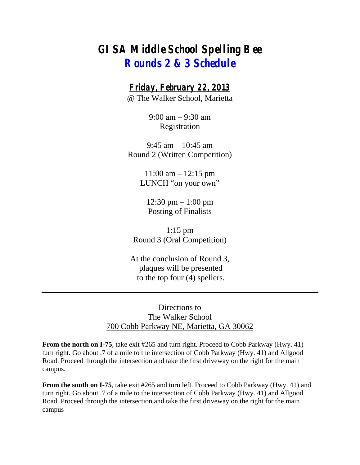# **GISA Middle School Spelling Bee Rounds 2 & 3 Schedule**

#### **Friday, February 22, 2013**

@ The Walker School, Marietta

9:00 am – 9:30 am Registration

9:45 am – 10:45 am Round 2 (Written Competition)

> 11:00 am – 12:15 pm LUNCH "on your own"

12:30 pm – 1:00 pm Posting of Finalists

1:15 pm Round 3 (Oral Competition)

At the conclusion of Round 3, plaques will be presented to the top four (4) spellers.

#### Directions to The Walker School 700 Cobb Parkway NE, Marietta, GA 30062

**From the north on I-75**, take exit #265 and turn right. Proceed to Cobb Parkway (Hwy. 41) turn right. Go about .7 of a mile to the intersection of Cobb Parkway (Hwy. 41) and Allgood Road. Proceed through the intersection and take the first driveway on the right for the main campus.

**From the south on I-75**, take exit #265 and turn left. Proceed to Cobb Parkway (Hwy. 41) and turn right. Go about .7 of a mile to the intersection of Cobb Parkway (Hwy. 41) and Allgood Road. Proceed through the intersection and take the first driveway on the right for the main campus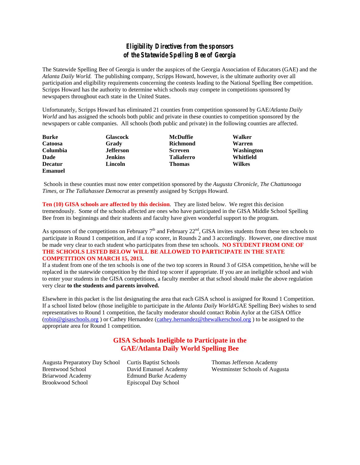#### **Eligibility Directives from the sponsors of the Statewide Spelling Bee of Georgia**

The Statewide Spelling Bee of Georgia is under the auspices of the Georgia Association of Educators (GAE) and the *Atlanta Daily World.* The publishing company, Scripps Howard, however, is the ultimate authority over all participation and eligibility requirements concerning the contests leading to the National Spelling Bee competition. Scripps Howard has the authority to determine which schools may compete in competitions sponsored by newspapers throughout each state in the United States.

Unfortunately, Scripps Howard has eliminated 21 counties from competition sponsored by GAE/*Atlanta Daily World* and has assigned the schools both public and private in these counties to competition sponsored by the newspapers or cable companies. All schools (both public and private) in the following counties are affected.

| <b>Burke</b>   | <b>Glascock</b>  | <b>McDuffie</b>   | Walker        |
|----------------|------------------|-------------------|---------------|
| Catoosa        | Grady            | <b>Richmond</b>   | Warren        |
| Columbia       | <b>Jefferson</b> | <b>Screven</b>    | Washington    |
| Dade           | <b>Jenkins</b>   | <b>Taliaferro</b> | Whitfield     |
| <b>Decatur</b> | Lincoln          | <b>Thomas</b>     | <b>Wilkes</b> |
| Emanuel        |                  |                   |               |

 Schools in these counties must now enter competition sponsored by the *Augusta Chronicle, The Chattanooga Times,* or *The Tallahassee Democrat* as presently assigned by Scripps Howard.

**Ten (10) GISA schools are affected by this decision**. They are listed below. We regret this decision tremendously. Some of the schools affected are ones who have participated in the GISA Middle School Spelling Bee from its beginnings and their students and faculty have given wonderful support to the program.

As sponsors of the competitions on February  $7<sup>th</sup>$  and February 22<sup>nd</sup>, GISA invites students from these ten schools to participate in Round 1 competition, and if a top scorer, in Rounds 2 and 3 accordingly. However, one directive must be made very clear to each student who participates from these ten schools. **NO STUDENT FROM ONE OF THE SCHOOLS LISTED BELOW WILL BE ALLOWED TO PARTICIPATE IN THE STATE COMPETITION ON MARCH 15, 2013.**

If a student from one of the ten schools is one of the two top scorers in Round 3 of GISA competition, he/she will be replaced in the statewide competition by the third top scorer if appropriate. If you are an ineligible school and wish to enter your students in the GISA competitions, a faculty member at that school should make the above regulation very clear **to the students and parents involved.** 

Elsewhere in this packet is the list designating the area that each GISA school is assigned for Round 1 Competition. If a school listed below (those ineligible to participate in the *Atlanta Daily World*/GAE Spelling Bee) wishes to send representatives to Round 1 competition, the faculty moderator should contact Robin Aylor at the GISA Office (robin@gisaschools.org ) or Cathey Hernandez (cathey.hernandez@thewalkerschool.org ) to be assigned to the appropriate area for Round 1 competition.

#### **GISA Schools Ineligible to Participate in the GAE/Atlanta Daily World Spelling Bee**

Augusta Preparatory Day School Curtis Baptist Schools Thomas Jefferson Academy Briarwood Academy Edmund Burke Academy Brookwood School Episcopal Day School

Brentwood School David Emanuel Academy Westminster Schools of Augusta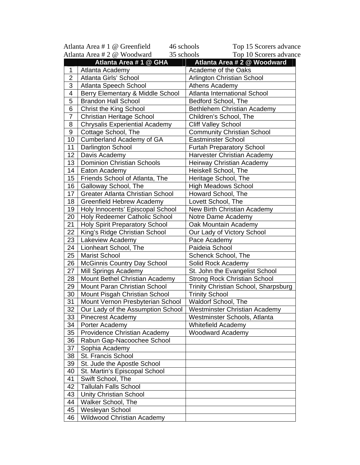|                                           | Atlanta Area # 1 @ Greenfield<br>46 schools | Top 15 Scorers advance               |  |
|-------------------------------------------|---------------------------------------------|--------------------------------------|--|
| Atlanta Area # 2 @ Woodward<br>35 schools |                                             | Top 10 Scorers advance               |  |
|                                           | Atlanta Area # 1 @ GHA                      | Atlanta Area # 2 @ Woodward          |  |
| 1                                         | Atlanta Academy                             | Academe of the Oaks                  |  |
| $\overline{2}$                            | Atlanta Girls' School                       | Arlington Christian School           |  |
| 3                                         | Atlanta Speech School                       | Athens Academy                       |  |
| 4                                         | Berry Elementary & Middle School            | Atlanta International School         |  |
| 5                                         | <b>Brandon Hall School</b>                  | Bedford School, The                  |  |
| 6                                         | <b>Christ the King School</b>               | Bethlehem Christian Academy          |  |
| 7                                         | <b>Christian Heritage School</b>            | Children's School, The               |  |
| 8                                         | <b>Chrysalis Experiential Academy</b>       | <b>Cliff Valley School</b>           |  |
| 9                                         | Cottage School, The                         | <b>Community Christian School</b>    |  |
| 10                                        | Cumberland Academy of GA                    | Eastminster School                   |  |
| 11                                        | Darlington School                           | <b>Furtah Preparatory School</b>     |  |
| 12                                        | Davis Academy                               | <b>Harvester Christian Academy</b>   |  |
| 13                                        | <b>Dominion Christian Schools</b>           | Heirway Christian Academy            |  |
| 14                                        | Eaton Academy                               | Heiskell School, The                 |  |
| 15                                        | Friends School of Atlanta, The              | Heritage School, The                 |  |
| 16                                        | Galloway School, The                        | <b>High Meadows School</b>           |  |
| 17                                        | <b>Greater Atlanta Christian School</b>     | Howard School, The                   |  |
| 18                                        | <b>Greenfield Hebrew Academy</b>            | Lovett School, The                   |  |
| 19                                        | Holy Innocents' Episcopal School            | New Birth Christian Academy          |  |
| 20                                        | Holy Redeemer Catholic School               | Notre Dame Academy                   |  |
| 21                                        | <b>Holy Spirit Preparatory School</b>       | Oak Mountain Academy                 |  |
| 22                                        | King's Ridge Christian School               | Our Lady of Victory School           |  |
| 23                                        | Lakeview Academy                            | Pace Academy                         |  |
| 24                                        | Lionheart School, The                       | Paideia School                       |  |
| 25                                        | <b>Marist School</b>                        | Schenck School, The                  |  |
| 26                                        | <b>McGinnis Country Day School</b>          | Solid Rock Academy                   |  |
| 27                                        | Mill Springs Academy                        | St. John the Evangelist School       |  |
| 28                                        | Mount Bethel Christian Academy              | <b>Strong Rock Christian School</b>  |  |
| 29                                        | Mount Paran Christian School                | Trinity Christian School, Sharpsburg |  |
| 30                                        | Mount Pisgah Christian School               | <b>Trinity School</b>                |  |
| 31                                        | Mount Vernon Presbyterian School            | Waldorf School, The                  |  |
| 32                                        | Our Lady of the Assumption School           | <b>Westminster Christian Academy</b> |  |
| 33                                        | <b>Pinecrest Academy</b>                    | Westminster Schools, Atlanta         |  |
| 34                                        | Porter Academy                              | <b>Whitefield Academy</b>            |  |
| 35                                        | Providence Christian Academy                | <b>Woodward Academy</b>              |  |
| 36                                        | Rabun Gap-Nacoochee School                  |                                      |  |
| 37                                        | Sophia Academy                              |                                      |  |
| 38                                        | St. Francis School                          |                                      |  |
| 39                                        | St. Jude the Apostle School                 |                                      |  |
| 40                                        | St. Martin's Episcopal School               |                                      |  |
| 41                                        | Swift School, The                           |                                      |  |
| 42                                        | <b>Tallulah Falls School</b>                |                                      |  |
| 43                                        | <b>Unity Christian School</b>               |                                      |  |
| 44                                        | Walker School, The                          |                                      |  |
| 45                                        | Wesleyan School                             |                                      |  |
| 46                                        | <b>Wildwood Christian Academy</b>           |                                      |  |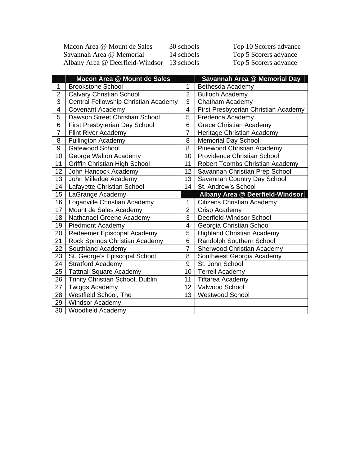| Macon Area @ Mount de Sales                | 30 schools | Top 10 Scorers advance |
|--------------------------------------------|------------|------------------------|
| Savannah Area @ Memorial                   | 14 schools | Top 5 Scorers advance  |
| Albany Area @ Deerfield-Windsor 13 schools |            | Top 5 Scorers advance  |

|                | Macon Area @ Mount de Sales          |                | Savannah Area @ Memorial Day         |
|----------------|--------------------------------------|----------------|--------------------------------------|
| 1              | <b>Brookstone School</b>             | 1              | Bethesda Academy                     |
| $\overline{c}$ | <b>Calvary Christian School</b>      | $\overline{2}$ | <b>Bulloch Academy</b>               |
| 3              | Central Fellowship Christian Academy | 3              | Chatham Academy                      |
| 4              | <b>Covenant Academy</b>              | 4              | First Presbyterian Christian Academy |
| 5              | Dawson Street Christian School       | 5              | Frederica Academy                    |
| 6              | First Presbyterian Day School        | 6              | <b>Grace Christian Academy</b>       |
| 7              | <b>Flint River Academy</b>           | 7              | Heritage Christian Academy           |
| 8              | <b>Fullington Academy</b>            | 8              | <b>Memorial Day School</b>           |
| 9              | <b>Gatewood School</b>               | 8              | Pinewood Christian Academy           |
| 10             | George Walton Academy                | 10             | <b>Providence Christian School</b>   |
| 11             | <b>Griffin Christian High School</b> | 11             | Robert Toombs Christian Academy      |
| 12             | John Hancock Academy                 | 12             | Savannah Christian Prep School       |
| 13             | John Milledge Academy                | 13             | Savannah Country Day School          |
| 14             | Lafayette Christian School           | 14             | St. Andrew's School                  |
| 15             | LaGrange Academy                     |                | Albany Area @ Deerfield-Windsor      |
| 16             | Loganville Christian Academy         | $\mathbf{1}$   | <b>Citizens Christian Academy</b>    |
| 17             | Mount de Sales Academy               | $\overline{2}$ | Crisp Academy                        |
| 18             | Nathanael Greene Academy             | 3              | Deerfield-Windsor School             |
| 19             | <b>Piedmont Academy</b>              | 4              | Georgia Christian School             |
| 20             | Redeemer Episcopal Academy           | 5              | <b>Highland Christian Academy</b>    |
| 21             | Rock Springs Christian Academy       | 6              | Randolph Southern School             |
| 22             | Southland Academy                    | 7              | Sherwood Christian Academy           |
| 23             | St. George's Episcopal School        | 8              | Southwest Georgia Academy            |
| 24             | <b>Stratford Academy</b>             | 9              | St. John School                      |
| 25             | <b>Tattnall Square Academy</b>       | 10             | <b>Terrell Academy</b>               |
| 26             | Trinity Christian School, Dublin     | 11             | <b>Tiftarea Academy</b>              |
| 27             | <b>Twiggs Academy</b>                | 12             | Valwood School                       |
| 28             | Westfield School, The                | 13             | <b>Westwood School</b>               |
| 29             | <b>Windsor Academy</b>               |                |                                      |
| 30             | <b>Woodfield Academy</b>             |                |                                      |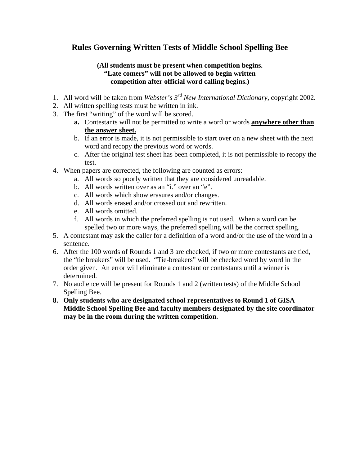#### **Rules Governing Written Tests of Middle School Spelling Bee**

#### **(All students must be present when competition begins. "Late comers" will not be allowed to begin written competition after official word calling begins.)**

- 1. All word will be taken from *Webster's 3rd New International Dictionary*, copyright 2002.
- 2. All written spelling tests must be written in ink.
- 3. The first "writing" of the word will be scored.
	- **a.** Contestants will not be permitted to write a word or words **anywhere other than the answer sheet.**
	- b. If an error is made, it is not permissible to start over on a new sheet with the next word and recopy the previous word or words.
	- c. After the original test sheet has been completed, it is not permissible to recopy the test.
- 4. When papers are corrected, the following are counted as errors:
	- a. All words so poorly written that they are considered unreadable.
	- b. All words written over as an "i." over an "e".
	- c. All words which show erasures and/or changes.
	- d. All words erased and/or crossed out and rewritten.
	- e. All words omitted.
	- f. All words in which the preferred spelling is not used. When a word can be spelled two or more ways, the preferred spelling will be the correct spelling.
- 5. A contestant may ask the caller for a definition of a word and/or the use of the word in a sentence.
- 6. After the 100 words of Rounds 1 and 3 are checked, if two or more contestants are tied, the "tie breakers" will be used. "Tie-breakers" will be checked word by word in the order given. An error will eliminate a contestant or contestants until a winner is determined.
- 7. No audience will be present for Rounds 1 and 2 (written tests) of the Middle School Spelling Bee.
- **8. Only students who are designated school representatives to Round 1 of GISA Middle School Spelling Bee and faculty members designated by the site coordinator may be in the room during the written competition.**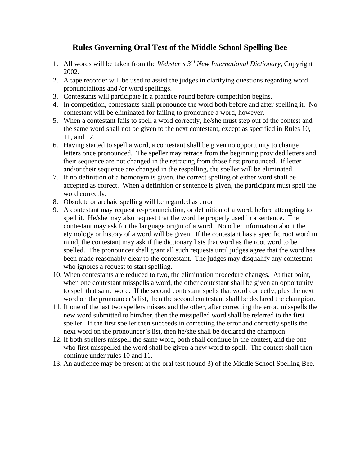#### **Rules Governing Oral Test of the Middle School Spelling Bee**

- 1. All words will be taken from the *Webster's 3rd New International Dictionary,* Copyright 2002.
- 2. A tape recorder will be used to assist the judges in clarifying questions regarding word pronunciations and /or word spellings.
- 3. Contestants will participate in a practice round before competition begins.
- 4. In competition, contestants shall pronounce the word both before and after spelling it. No contestant will be eliminated for failing to pronounce a word, however.
- 5. When a contestant fails to spell a word correctly, he/she must step out of the contest and the same word shall not be given to the next contestant, except as specified in Rules 10, 11, and 12.
- 6. Having started to spell a word, a contestant shall be given no opportunity to change letters once pronounced. The speller may retrace from the beginning provided letters and their sequence are not changed in the retracing from those first pronounced. If letter and/or their sequence are changed in the respelling, the speller will be eliminated.
- 7. If no definition of a homonym is given, the correct spelling of either word shall be accepted as correct. When a definition or sentence is given, the participant must spell the word correctly.
- 8. Obsolete or archaic spelling will be regarded as error.
- 9. A contestant may request re-pronunciation, or definition of a word, before attempting to spell it. He/she may also request that the word be properly used in a sentence. The contestant may ask for the language origin of a word. No other information about the etymology or history of a word will be given. If the contestant has a specific root word in mind, the contestant may ask if the dictionary lists that word as the root word to be spelled. The pronouncer shall grant all such requests until judges agree that the word has been made reasonably clear to the contestant. The judges may disqualify any contestant who ignores a request to start spelling.
- 10. When contestants are reduced to two, the elimination procedure changes. At that point, when one contestant misspells a word, the other contestant shall be given an opportunity to spell that same word. If the second contestant spells that word correctly, plus the next word on the pronouncer's list, then the second contestant shall be declared the champion.
- 11. If one of the last two spellers misses and the other, after correcting the error, misspells the new word submitted to him/her, then the misspelled word shall be referred to the first speller. If the first speller then succeeds in correcting the error and correctly spells the next word on the pronouncer's list, then he/she shall be declared the champion.
- 12. If both spellers misspell the same word, both shall continue in the contest, and the one who first misspelled the word shall be given a new word to spell. The contest shall then continue under rules 10 and 11.
- 13. An audience may be present at the oral test (round 3) of the Middle School Spelling Bee.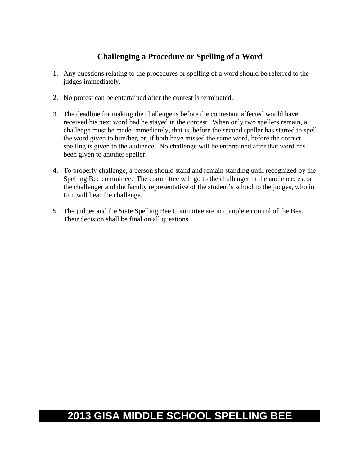#### **Challenging a Procedure or Spelling of a Word**

- 1. Any questions relating to the procedures or spelling of a word should be referred to the judges immediately.
- 2. No protest can be entertained after the contest is terminated.
- 3. The deadline for making the challenge is before the contestant affected would have received his next word had he stayed in the contest. When only two spellers remain, a challenge must be made immediately, that is, before the second speller has started to spell the word given to him/her, or, if both have missed the same word, before the correct spelling is given to the audience. No challenge will be entertained after that word has been given to another speller.
- 4. To properly challenge, a person should stand and remain standing until recognized by the Spelling Bee committee. The committee will go to the challenger in the audience, escort the challenger and the faculty representative of the student's school to the judges, who in turn will hear the challenge.
- 5. The judges and the State Spelling Bee Committee are in complete control of the Bee. Their decision shall be final on all questions.

# **2013 GISA MIDDLE SCHOOL SPELLING BEE**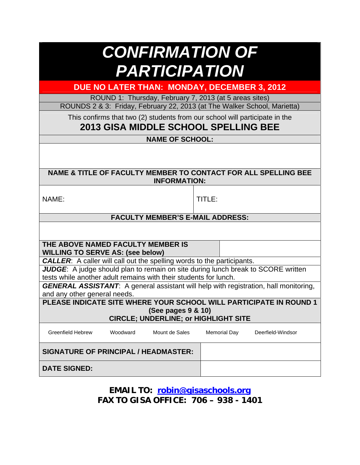| <b>CONFIRMATION OF</b> |                      |  |
|------------------------|----------------------|--|
|                        | <b>PARTICIPATION</b> |  |

**DUE NO LATER THAN: MONDAY, DECEMBER 3, 2012** 

ROUND 1: Thursday, February 7, 2013 (at 5 areas sites)

ROUNDS 2 & 3: Friday, February 22, 2013 (at The Walker School, Marietta)

This confirms that two (2) students from our school will participate in the

#### **2013 GISA MIDDLE SCHOOL SPELLING BEE**

**NAME OF SCHOOL:** 

**NAME & TITLE OF FACULTY MEMBER TO CONTACT FOR ALL SPELLING BEE INFORMATION:** 

NAME: International Seconds and TITLE:

#### **FACULTY MEMBER'S E-MAIL ADDRESS:**

**THE ABOVE NAMED FACULTY MEMBER IS WILLING TO SERVE AS: (see below)** 

*CALLER*: A caller will call out the spelling words to the participants.

*JUDGE*: A judge should plan to remain on site during lunch break to SCORE written tests while another adult remains with their students for lunch.

*GENERAL ASSISTANT*: A general assistant will help with registration, hall monitoring, and any other general needs.

**PLEASE INDICATE SITE WHERE YOUR SCHOOL WILL PARTICIPATE IN ROUND 1 (See pages 9 & 10)** 

| <b>CIRCLE; UNDERLINE; or HIGHLIGHT SITE</b> |                           |                |              |             |  |  |
|---------------------------------------------|---------------------------|----------------|--------------|-------------|--|--|
|                                             | $M_{\alpha\alpha}$ ducard | Mount de Colon | Momerial Day | Doorfield V |  |  |

| Greenfield Hebrew                           | Woodward | Mount de Sales | Memorial Day | Deerfield-Windsor |
|---------------------------------------------|----------|----------------|--------------|-------------------|
| <b>SIGNATURE OF PRINCIPAL / HEADMASTER:</b> |          |                |              |                   |
| <b>DATE SIGNED:</b>                         |          |                |              |                   |

**EMAIL TO: robin@gisaschools.org FAX TO GISA OFFICE: 706 – 938 - 1401**